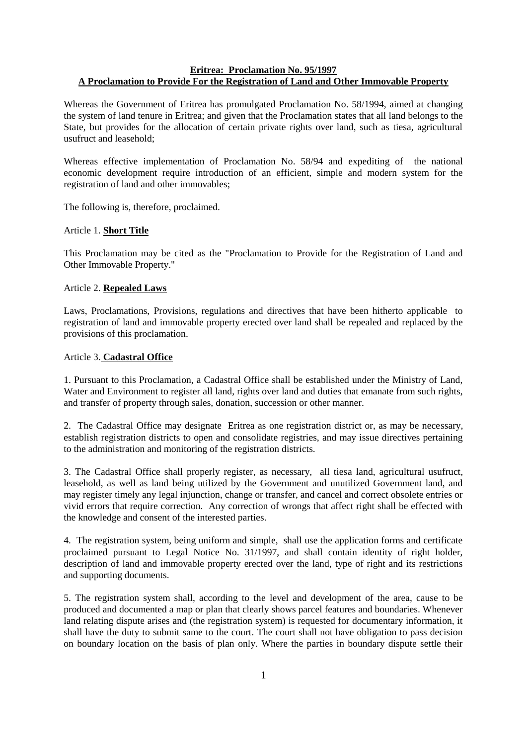## **Eritrea: Proclamation No. 95/1997 A Proclamation to Provide For the Registration of Land and Other Immovable Property**

Whereas the Government of Eritrea has promulgated Proclamation No. 58/1994, aimed at changing the system of land tenure in Eritrea; and given that the Proclamation states that all land belongs to the State, but provides for the allocation of certain private rights over land, such as tiesa, agricultural usufruct and leasehold;

Whereas effective implementation of Proclamation No. 58/94 and expediting of the national economic development require introduction of an efficient, simple and modern system for the registration of land and other immovables;

The following is, therefore, proclaimed.

### Article 1. **Short Title**

This Proclamation may be cited as the "Proclamation to Provide for the Registration of Land and Other Immovable Property."

### Article 2. **Repealed Laws**

Laws, Proclamations, Provisions, regulations and directives that have been hitherto applicable to registration of land and immovable property erected over land shall be repealed and replaced by the provisions of this proclamation.

### Article 3. **Cadastral Office**

1. Pursuant to this Proclamation, a Cadastral Office shall be established under the Ministry of Land, Water and Environment to register all land, rights over land and duties that emanate from such rights, and transfer of property through sales, donation, succession or other manner.

2. The Cadastral Office may designate Eritrea as one registration district or, as may be necessary, establish registration districts to open and consolidate registries, and may issue directives pertaining to the administration and monitoring of the registration districts.

3. The Cadastral Office shall properly register, as necessary, all tiesa land, agricultural usufruct, leasehold, as well as land being utilized by the Government and unutilized Government land, and may register timely any legal injunction, change or transfer, and cancel and correct obsolete entries or vivid errors that require correction. Any correction of wrongs that affect right shall be effected with the knowledge and consent of the interested parties.

4. The registration system, being uniform and simple, shall use the application forms and certificate proclaimed pursuant to Legal Notice No. 31/1997, and shall contain identity of right holder, description of land and immovable property erected over the land, type of right and its restrictions and supporting documents.

5. The registration system shall, according to the level and development of the area, cause to be produced and documented a map or plan that clearly shows parcel features and boundaries. Whenever land relating dispute arises and (the registration system) is requested for documentary information, it shall have the duty to submit same to the court. The court shall not have obligation to pass decision on boundary location on the basis of plan only. Where the parties in boundary dispute settle their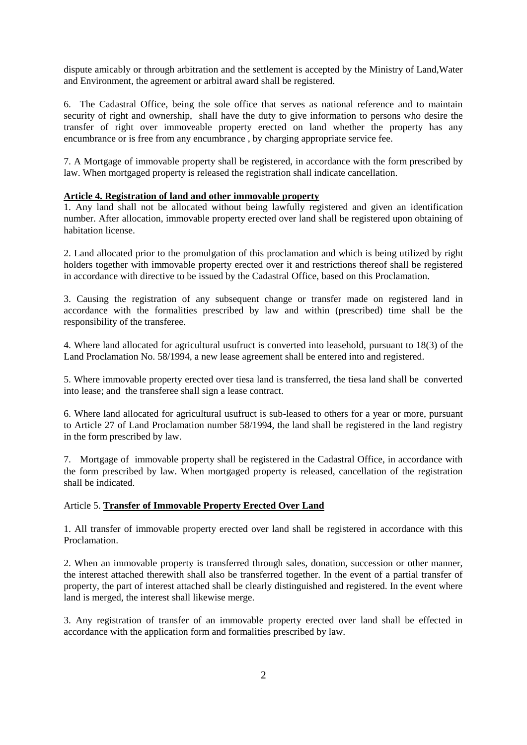dispute amicably or through arbitration and the settlement is accepted by the Ministry of Land,Water and Environment, the agreement or arbitral award shall be registered.

6. The Cadastral Office, being the sole office that serves as national reference and to maintain security of right and ownership, shall have the duty to give information to persons who desire the transfer of right over immoveable property erected on land whether the property has any encumbrance or is free from any encumbrance , by charging appropriate service fee.

7. A Mortgage of immovable property shall be registered, in accordance with the form prescribed by law. When mortgaged property is released the registration shall indicate cancellation.

### **Article 4. Registration of land and other immovable property**

1. Any land shall not be allocated without being lawfully registered and given an identification number. After allocation, immovable property erected over land shall be registered upon obtaining of habitation license.

2. Land allocated prior to the promulgation of this proclamation and which is being utilized by right holders together with immovable property erected over it and restrictions thereof shall be registered in accordance with directive to be issued by the Cadastral Office, based on this Proclamation.

3. Causing the registration of any subsequent change or transfer made on registered land in accordance with the formalities prescribed by law and within (prescribed) time shall be the responsibility of the transferee.

4. Where land allocated for agricultural usufruct is converted into leasehold, pursuant to 18(3) of the Land Proclamation No. 58/1994, a new lease agreement shall be entered into and registered.

5. Where immovable property erected over tiesa land is transferred, the tiesa land shall be converted into lease; and the transferee shall sign a lease contract.

6. Where land allocated for agricultural usufruct is sub-leased to others for a year or more, pursuant to Article 27 of Land Proclamation number 58/1994, the land shall be registered in the land registry in the form prescribed by law.

7. Mortgage of immovable property shall be registered in the Cadastral Office, in accordance with the form prescribed by law. When mortgaged property is released, cancellation of the registration shall be indicated.

### Article 5. **Transfer of Immovable Property Erected Over Land**

1. All transfer of immovable property erected over land shall be registered in accordance with this Proclamation.

2. When an immovable property is transferred through sales, donation, succession or other manner, the interest attached therewith shall also be transferred together. In the event of a partial transfer of property, the part of interest attached shall be clearly distinguished and registered. In the event where land is merged, the interest shall likewise merge.

3. Any registration of transfer of an immovable property erected over land shall be effected in accordance with the application form and formalities prescribed by law.